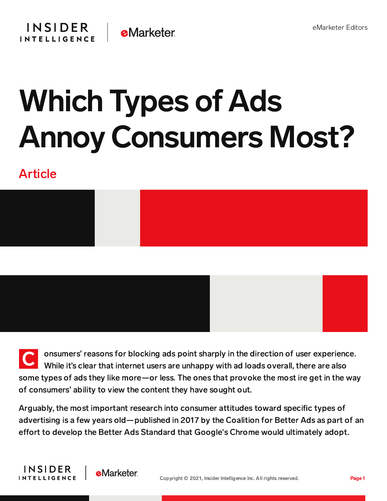

## Which Types of Ads Annoy Consumers Most?

## Article



C onsumers' reasons for blocking ads point sharply in the direction of user experience. While it's clear that internet users are unhappy with ad loads overall, there are also some types of ads they like more—or less. The ones that provoke the most ire get in the way of consumers' ability to view the content they have sought out.

Arguably, the most important research into consumer attitudes toward specific types of advertising is a few years old—published in 2017 by the Coalition for Better Ads as part of an effort to develop the Better Ads Standard that Google's Chrome would ultimately adopt.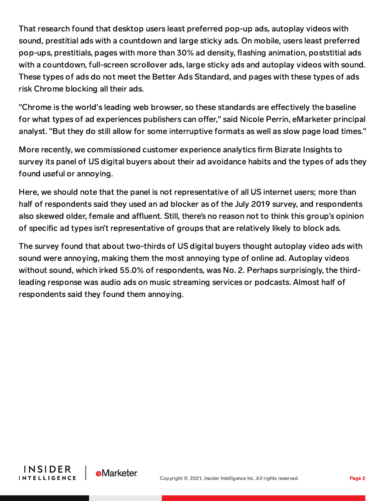That research found that desktop users least preferred pop-up ads, autoplay videos with sound, prestitial ads with a countdown and large sticky ads. On mobile, users least preferred pop-ups, prestitials, pages with more than 30% ad density, flashing animation, poststitial ads with a countdown, full-screen scrollover ads, large sticky ads and autoplay videos with sound. These types of ads do not meet the Better Ads Standard, and pages with these types of ads risk Chrome blocking all their ads.

"Chrome is the world's leading web browser, so these standards are effectively the baseline for what types of ad experiences publishers can offer," said Nicole Perrin, eMarketer principal analyst. "But they do still allow for some interruptive formats as well as slow page load times."

More recently, we commissioned customer experience analytics firm Bizrate Insights to survey its panel of US digital buyers about their ad avoidance habits and the types of ads they found useful or annoying.

Here, we should note that the panel is not representative of all US internet users; more than half of respondents said they used an ad blocker as of the July 2019 survey, and respondents also skewed older, female and affluent. Still, there's no reason not to think this group's opinion of specific ad types isn't representative of groups that are relatively likely to block ads.

The survey found that about two-thirds of US digital buyers thought autoplay video ads with sound were annoying, making them the most annoying type of online ad. Autoplay videos without sound, which irked 55.0% of respondents, was No. 2. Perhaps surprisingly, the thirdleading response was audio ads on music streaming services or podcasts. Almost half of respondents said they found them annoying.



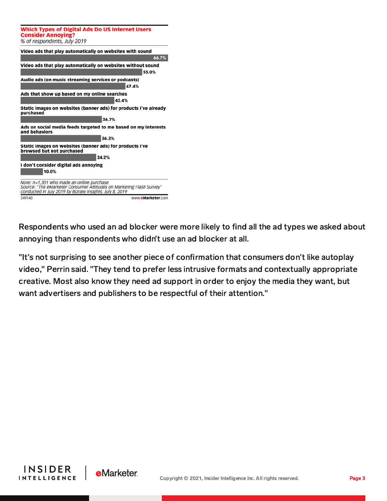| <b>Which Types of Digital Ads Do US Internet Users</b><br><b>Consider Annoying?</b>                                                                                           |
|-------------------------------------------------------------------------------------------------------------------------------------------------------------------------------|
| % of respondents, July 2019                                                                                                                                                   |
| Video ads that play automatically on websites with sound<br>66.7%                                                                                                             |
| Video ads that play automatically on websites without sound<br>55.0%                                                                                                          |
| Audio ads (on music streaming services or podcasts)                                                                                                                           |
| 47.4%                                                                                                                                                                         |
| Ads that show up based on my online searches                                                                                                                                  |
| 42.4%                                                                                                                                                                         |
| Static images on websites (banner ads) for products I've already<br>purchased                                                                                                 |
| 36.7%                                                                                                                                                                         |
| Ads on social media feeds targeted to me based on my interests<br>and behaviors                                                                                               |
| 36.3%                                                                                                                                                                         |
| Static images on websites (banner ads) for products I've<br>browsed but not purchased                                                                                         |
| 34.2%                                                                                                                                                                         |
| I don't consider digital ads annoying                                                                                                                                         |
| 10.0%                                                                                                                                                                         |
| Note: n=1,301 who made an online purchase<br>Source: "The eMarketer Consumer Attitudes on Marketing Flash Survey"<br>conducted in July 2019 by Bizrate Insights, July 8, 2019 |
| 249140<br>www.eMarketer.com                                                                                                                                                   |

Respondents who used an ad blocker were more likely to find all the ad types we asked about annoying than respondents who didn't use an ad blocker at all.

"It's not surprising to see another piece of confirmation that consumers don't like autoplay video," Perrin said. "They tend to prefer less intrusive formats and contextually appropriate creative. Most also know they need ad support in order to enjoy the media they want, but want advertisers and publishers to be respectful of their attention."